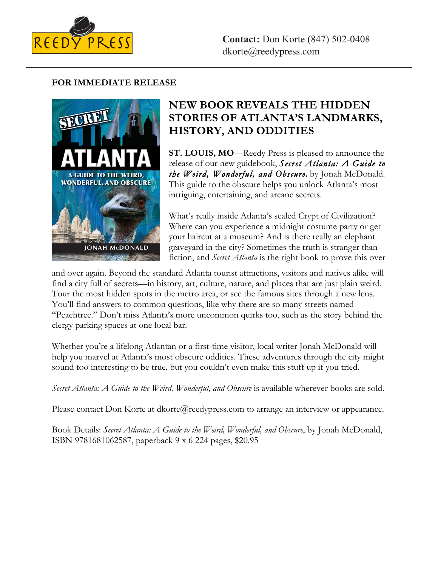

## **FOR IMMEDIATE RELEASE**



# **NEW BOOK REVEALS THE HIDDEN STORIES OF ATLANTA'S LANDMARKS, HISTORY, AND ODDITIES**

**ST. LOUIS, MO**—Reedy Press is pleased to announce the release of our new guidebook, *Secret Atlanta: A Guide to the Weird, Wonderful, and Obscure,* by Jonah McDonald. This guide to the obscure helps you unlock Atlanta's most intriguing, entertaining, and arcane secrets.

What's really inside Atlanta's sealed Crypt of Civilization? Where can you experience a midnight costume party or get your haircut at a museum? And is there really an elephant graveyard in the city? Sometimes the truth is stranger than fiction, and *Secret Atlanta* is the right book to prove this over

and over again. Beyond the standard Atlanta tourist attractions, visitors and natives alike will find a city full of secrets—in history, art, culture, nature, and places that are just plain weird. Tour the most hidden spots in the metro area, or see the famous sites through a new lens. You'll find answers to common questions, like why there are so many streets named "Peachtree." Don't miss Atlanta's more uncommon quirks too, such as the story behind the clergy parking spaces at one local bar.

Whether you're a lifelong Atlantan or a first-time visitor, local writer Jonah McDonald will help you marvel at Atlanta's most obscure oddities. These adventures through the city might sound too interesting to be true, but you couldn't even make this stuff up if you tried.

Secret Atlanta: A Guide to the Weird, Wonderful, and Obscure is available wherever books are sold.

Please contact Don Korte at dkorte@reedypress.com to arrange an interview or appearance.

Book Details: *Secret Atlanta: A Guide to the Weird, Wonderful, and Obscure*, by Jonah McDonald, ISBN 9781681062587, paperback 9 x 6 224 pages, \$20.95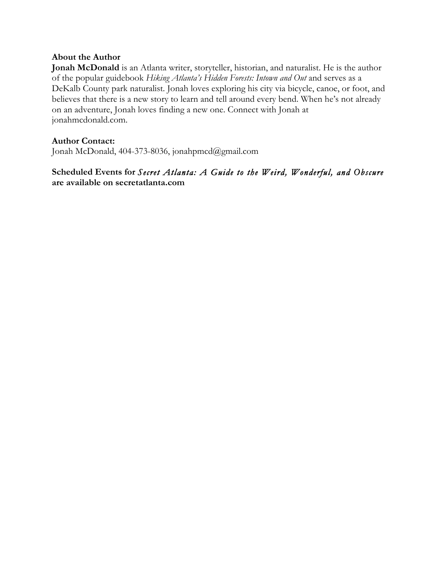## **About the Author**

**Jonah McDonald** is an Atlanta writer, storyteller, historian, and naturalist. He is the author of the popular guidebook *Hiking Atlanta's Hidden Forests: Intown and Out* and serves as a DeKalb County park naturalist. Jonah loves exploring his city via bicycle, canoe, or foot, and believes that there is a new story to learn and tell around every bend. When he's not already on an adventure, Jonah loves finding a new one. Connect with Jonah at jonahmcdonald.com.

### **Author Contact:**

Jonah McDonald, 404-373-8036, jonahpmcd@gmail.com

# **Scheduled Events for** *Secret Atlanta: A Guide to the Weird, Wonderful, and Obscure* **are available on secretatlanta.com**